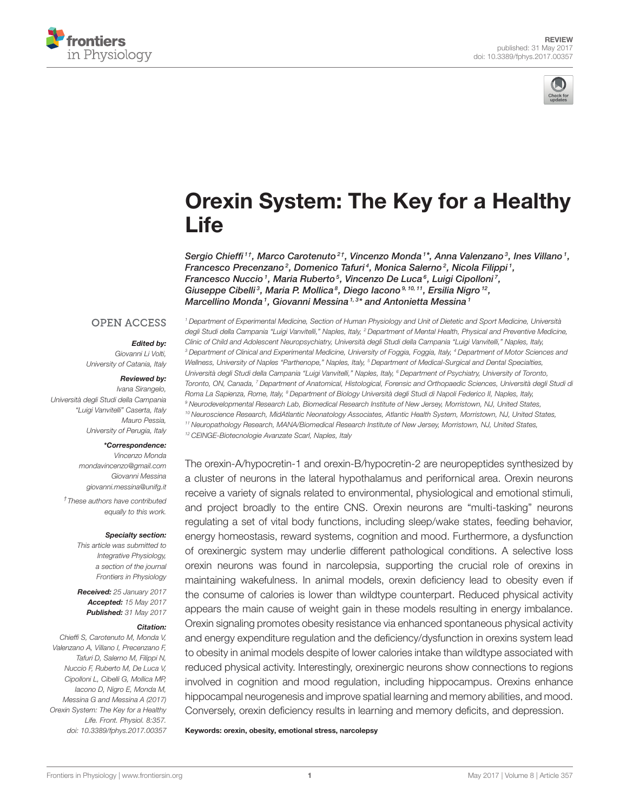



# [Orexin System: The Key for a Healthy](http://journal.frontiersin.org/article/10.3389/fphys.2017.00357/abstract) **Life**

Sergio Chieffi<sup>1†</sup>, Marco Carotenuto<sup>2†</sup>, [Vincenzo Monda](http://loop.frontiersin.org/people/181233/overview)<sup>1\*</sup>, Anna Valenzano<sup>3</sup>, [Ines Villano](http://loop.frontiersin.org/people/395663/overview)<sup>1</sup>, Francesco Precenzano<sup>2</sup>, Domenico Tafuri<sup>4</sup>, Monica Salerno<sup>2</sup>, [Nicola Filippi](http://loop.frontiersin.org/people/434453/overview)<sup>1</sup>, Francesco Nuccio<sup>1</sup>, Maria Ruberto<sup>5</sup>, [Vincenzo De Luca](http://loop.frontiersin.org/people/181318/overview)<sup>6</sup>, [Luigi Cipolloni](http://loop.frontiersin.org/people/423043/overview)<sup>7</sup>, Giuseppe Cibelli<sup>3</sup>, Maria P. Mollica<sup>8</sup>, [Diego Iacono](http://loop.frontiersin.org/people/434292/overview)<sup>9, 10, 11</sup>, [Ersilia Nigro](http://loop.frontiersin.org/people/434425/overview)<sup>12</sup>, Marcellino Monda1, [Giovanni Messina](http://loop.frontiersin.org/people/168807/overview)<sup>1,3\*</sup> and [Antonietta Messina](http://loop.frontiersin.org/people/181098/overview)1

#### **OPEN ACCESS**

#### Edited by:

Giovanni Li Volti, University of Catania, Italy

#### Reviewed by:

Ivana Sirangelo, Università degli Studi della Campania "Luigi Vanvitelli" Caserta, Italy Mauro Pessia, University of Perugia, Italy

#### \*Correspondence:

Vincenzo Monda [mondavincenzo@gmail.com](mailto:mondavincenzo@gmail.com) Giovanni Messina [giovanni.messina@unifg.it](mailto:giovanni.messina@unifg.it) † These authors have contributed equally to this work.

#### Specialty section:

This article was submitted to Integrative Physiology, a section of the journal Frontiers in Physiology

Received: 25 January 2017 Accepted: 15 May 2017 Published: 31 May 2017

#### Citation:

Chieffi S, Carotenuto M, Monda V, Valenzano A, Villano I, Precenzano F, Tafuri D, Salerno M, Filippi N, Nuccio F, Ruberto M, De Luca V, Cipolloni L, Cibelli G, Mollica MP, Iacono D, Nigro E, Monda M, Messina G and Messina A (2017) Orexin System: The Key for a Healthy Life. Front. Physiol. 8:357. doi: [10.3389/fphys.2017.00357](https://doi.org/10.3389/fphys.2017.00357)

<sup>1</sup> Department of Experimental Medicine, Section of Human Physiology and Unit of Dietetic and Sport Medicine, Università degli Studi della Campania "Luigi Vanvitelli," Naples, Italy, <sup>2</sup> Department of Mental Health, Physical and Preventive Medicine, Clinic of Child and Adolescent Neuropsychiatry, Università degli Studi della Campania "Luigi Vanvitelli," Naples, Italy, <sup>3</sup> Department of Clinical and Experimental Medicine, University of Foggia, Foggia, Italy, <sup>4</sup> Department of Motor Sciences and Wellness, University of Naples "Parthenope," Naples, Italy, <sup>s</sup> Department of Medical-Surgical and Dental Specialties, Università degli Studi della Campania "Luigi Vanvitelli," Naples, Italy, <sup>6</sup> Department of Psychiatry, University of Toronto, Toronto, ON, Canada, <sup>7</sup> Department of Anatomical, Histological, Forensic and Orthopaedic Sciences, Università degli Studi di Roma La Sapienza, Rome, Italy, <sup>8</sup> Department of Biology Università degli Studi di Napoli Federico II, Naples, Italy, <sup>9</sup> Neurodevelopmental Research Lab, Biomedical Research Institute of New Jersey, Morristown, NJ, United States, <sup>10</sup> Neuroscience Research, MidAtlantic Neonatology Associates, Atlantic Health System, Morristown, NJ, United States, <sup>11</sup> Neuropathology Research, MANA/Biomedical Research Institute of New Jersey, Morristown, NJ, United States,

<sup>12</sup> CEINGE-Biotecnologie Avanzate Scarl, Naples, Italy

The orexin-A/hypocretin-1 and orexin-B/hypocretin-2 are neuropeptides synthesized by a cluster of neurons in the lateral hypothalamus and perifornical area. Orexin neurons receive a variety of signals related to environmental, physiological and emotional stimuli, and project broadly to the entire CNS. Orexin neurons are "multi-tasking" neurons regulating a set of vital body functions, including sleep/wake states, feeding behavior, energy homeostasis, reward systems, cognition and mood. Furthermore, a dysfunction of orexinergic system may underlie different pathological conditions. A selective loss orexin neurons was found in narcolepsia, supporting the crucial role of orexins in maintaining wakefulness. In animal models, orexin deficiency lead to obesity even if the consume of calories is lower than wildtype counterpart. Reduced physical activity appears the main cause of weight gain in these models resulting in energy imbalance. Orexin signaling promotes obesity resistance via enhanced spontaneous physical activity and energy expenditure regulation and the deficiency/dysfunction in orexins system lead to obesity in animal models despite of lower calories intake than wildtype associated with reduced physical activity. Interestingly, orexinergic neurons show connections to regions involved in cognition and mood regulation, including hippocampus. Orexins enhance hippocampal neurogenesis and improve spatial learning and memory abilities, and mood. Conversely, orexin deficiency results in learning and memory deficits, and depression.

Keywords: orexin, obesity, emotional stress, narcolepsy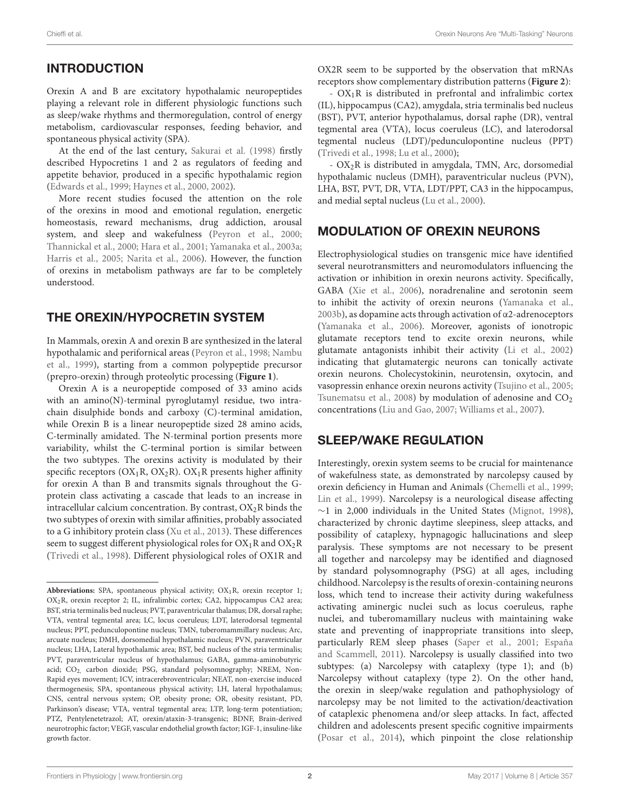# INTRODUCTION

Orexin A and B are excitatory hypothalamic neuropeptides playing a relevant role in different physiologic functions such as sleep/wake rhythms and thermoregulation, control of energy metabolism, cardiovascular responses, feeding behavior, and spontaneous physical activity (SPA).

At the end of the last century, [Sakurai et al. \(1998\)](#page-7-0) firstly described Hypocretins 1 and 2 as regulators of feeding and appetite behavior, produced in a specific hypothalamic region [\(Edwards et al., 1999;](#page-6-0) [Haynes et al., 2000,](#page-6-1) [2002\)](#page-6-2).

More recent studies focused the attention on the role of the orexins in mood and emotional regulation, energetic homeostasis, reward mechanisms, drug addiction, arousal system, and sleep and wakefulness [\(Peyron et al., 2000;](#page-7-1) [Thannickal et al., 2000;](#page-7-2) [Hara et al., 2001;](#page-6-3) [Yamanaka et al., 2003a;](#page-7-3) [Harris et al., 2005;](#page-6-4) [Narita et al., 2006\)](#page-7-4). However, the function of orexins in metabolism pathways are far to be completely understood.

# THE OREXIN/HYPOCRETIN SYSTEM

In Mammals, orexin A and orexin B are synthesized in the lateral hypothalamic and perifornical areas [\(Peyron et al., 1998;](#page-7-5) Nambu et al., [1999\)](#page-7-6), starting from a common polypeptide precursor (prepro-orexin) through proteolytic processing (**[Figure 1](#page-2-0)**).

Orexin A is a neuropeptide composed of 33 amino acids with an amino(N)-terminal pyroglutamyl residue, two intrachain disulphide bonds and carboxy (C)-terminal amidation, while Orexin B is a linear neuropeptide sized 28 amino acids, C-terminally amidated. The N-terminal portion presents more variability, whilst the C-terminal portion is similar between the two subtypes. The orexins activity is modulated by their specific receptors ( $OX_1R$ ,  $OX_2R$ ).  $OX_1R$  presents higher affinity for orexin A than B and transmits signals throughout the Gprotein class activating a cascade that leads to an increase in intracellular calcium concentration. By contrast,  $OX_2R$  binds the two subtypes of orexin with similar affinities, probably associated to a G inhibitory protein class [\(Xu et al., 2013\)](#page-7-7). These differences seem to suggest different physiological roles for  $OX_1R$  and  $OX_2R$ [\(Trivedi et al., 1998\)](#page-7-8). Different physiological roles of OX1R and OX2R seem to be supported by the observation that mRNAs receptors show complementary distribution patterns (**[Figure 2](#page-2-1)**):

- OX1R is distributed in prefrontal and infralimbic cortex (IL), hippocampus (CA2), amygdala, stria terminalis bed nucleus (BST), PVT, anterior hypothalamus, dorsal raphe (DR), ventral tegmental area (VTA), locus coeruleus (LC), and laterodorsal tegmental nucleus (LDT)/pedunculopontine nucleus (PPT) [\(Trivedi et al., 1998;](#page-7-8) [Lu et al., 2000\)](#page-6-5);

- OX2R is distributed in amygdala, TMN, Arc, dorsomedial hypothalamic nucleus (DMH), paraventricular nucleus (PVN), LHA, BST, PVT, DR, VTA, LDT/PPT, CA3 in the hippocampus, and medial septal nucleus [\(Lu et al., 2000\)](#page-6-5).

# MODULATION OF OREXIN NEURONS

Electrophysiological studies on transgenic mice have identified several neurotransmitters and neuromodulators influencing the activation or inhibition in orexin neurons activity. Specifically, GABA [\(Xie et al., 2006\)](#page-7-9), noradrenaline and serotonin seem to inhibit the activity of orexin neurons [\(Yamanaka et al.,](#page-8-0) [2003b\)](#page-8-0), as dopamine acts through activation of α2-adrenoceptors [\(Yamanaka et al., 2006\)](#page-8-1). Moreover, agonists of ionotropic glutamate receptors tend to excite orexin neurons, while glutamate antagonists inhibit their activity [\(Li et al., 2002\)](#page-6-6) indicating that glutamatergic neurons can tonically activate orexin neurons. Cholecystokinin, neurotensin, oxytocin, and vasopressin enhance orexin neurons activity [\(Tsujino et al., 2005;](#page-7-10) [Tsunematsu et al., 2008\)](#page-7-11) by modulation of adenosine and  $CO<sub>2</sub>$ concentrations [\(Liu and Gao, 2007;](#page-6-7) [Williams et al., 2007\)](#page-7-12).

### SLEEP/WAKE REGULATION

Interestingly, orexin system seems to be crucial for maintenance of wakefulness state, as demonstrated by narcolepsy caused by orexin deficiency in Human and Animals [\(Chemelli et al., 1999;](#page-6-8) [Lin et al., 1999\)](#page-6-9). Narcolepsy is a neurological disease affecting  $∼1$  in 2,000 individuals in the United States [\(Mignot, 1998\)](#page-7-13), characterized by chronic daytime sleepiness, sleep attacks, and possibility of cataplexy, hypnagogic hallucinations and sleep paralysis. These symptoms are not necessary to be present all together and narcolepsy may be identified and diagnosed by standard polysomnography (PSG) at all ages, including childhood. Narcolepsy is the results of orexin-containing neurons loss, which tend to increase their activity during wakefulness activating aminergic nuclei such as locus coeruleus, raphe nuclei, and tuberomamillary nucleus with maintaining wake state and preventing of inappropriate transitions into sleep, particularly REM sleep phases [\(Saper et al., 2001;](#page-7-14) España and Scammell, [2011\)](#page-6-10). Narcolepsy is usually classified into two subtypes: (a) Narcolepsy with cataplexy (type 1); and (b) Narcolepsy without cataplexy (type 2). On the other hand, the orexin in sleep/wake regulation and pathophysiology of narcolepsy may be not limited to the activation/deactivation of cataplexic phenomena and/or sleep attacks. In fact, affected children and adolescents present specific cognitive impairments [\(Posar et al., 2014\)](#page-7-15), which pinpoint the close relationship

Abbreviations: SPA, spontaneous physical activity; OX<sub>1</sub>R, orexin receptor 1; OX2R, orexin receptor 2; IL, infralimbic cortex; CA2, hippocampus CA2 area; BST, stria terminalis bed nucleus; PVT, paraventricular thalamus; DR, dorsal raphe; VTA, ventral tegmental area; LC, locus coeruleus; LDT, laterodorsal tegmental nucleus; PPT, pedunculopontine nucleus; TMN, tuberomammillary nucleus; Arc, arcuate nucleus; DMH, dorsomedial hypothalamic nucleus; PVN, paraventricular nucleus; LHA, Lateral hypothalamic area; BST, bed nucleus of the stria terminalis; PVT, paraventricular nucleus of hypothalamus; GABA, gamma-aminobutyric acid; CO2, carbon dioxide; PSG, standard polysomnography; NREM, Non-Rapid eyes movement; ICV, intracerebroventricular; NEAT, non-exercise induced thermogenesis; SPA, spontaneous physical activity; LH, lateral hypothalamus; CNS, central nervous system; OP, obesity prone; OR, obesity resistant, PD, Parkinson's disease; VTA, ventral tegmental area; LTP, long-term potentiation; PTZ, Pentylenetetrazol; AT, orexin/ataxin-3-transgenic; BDNF, Brain-derived neurotrophic factor; VEGF, vascular endothelial growth factor; IGF-1, insuline-like growth factor.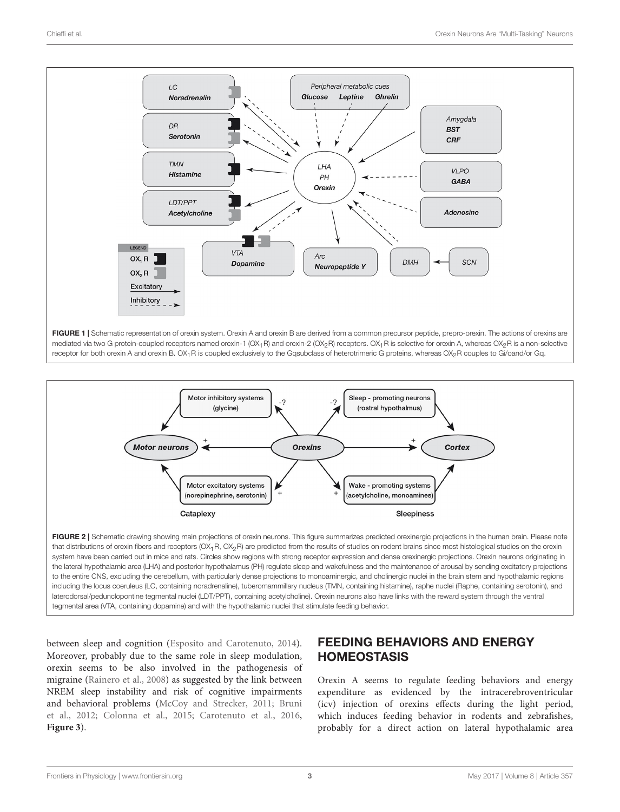

<span id="page-2-0"></span>

<span id="page-2-1"></span>that distributions of orexin fibers and receptors (OX<sub>1</sub>R, OX<sub>2</sub>R) are predicted from the results of studies on rodent brains since most histological studies on the orexin system have been carried out in mice and rats. Circles show regions with strong receptor expression and dense orexinergic projections. Orexin neurons originating in the lateral hypothalamic area (LHA) and posterior hypothalamus (PH) regulate sleep and wakefulness and the maintenance of arousal by sending excitatory projections to the entire CNS, excluding the cerebellum, with particularly dense projections to monoaminergic, and cholinergic nuclei in the brain stem and hypothalamic regions including the locus coeruleus (LC, containing noradrenaline), tuberomammillary nucleus (TMN, containing histamine), raphe nuclei (Raphe, containing serotonin), and laterodorsal/pedunclopontine tegmental nuclei (LDT/PPT), containing acetylcholine). Orexin neurons also have links with the reward system through the ventral tegmental area (VTA, containing dopamine) and with the hypothalamic nuclei that stimulate feeding behavior.

between sleep and cognition [\(Esposito and Carotenuto, 2014\)](#page-6-11). Moreover, probably due to the same role in sleep modulation, orexin seems to be also involved in the pathogenesis of migraine [\(Rainero et al., 2008\)](#page-7-16) as suggested by the link between NREM sleep instability and risk of cognitive impairments and behavioral problems [\(McCoy and Strecker, 2011;](#page-7-17) Bruni et al., [2012;](#page-6-12) [Colonna et al., 2015;](#page-6-13) [Carotenuto et al., 2016,](#page-6-14) **[Figure 3](#page-3-0)**).

# FEEDING BEHAVIORS AND ENERGY **HOMEOSTASIS**

Orexin A seems to regulate feeding behaviors and energy expenditure as evidenced by the intracerebroventricular (icv) injection of orexins effects during the light period, which induces feeding behavior in rodents and zebrafishes, probably for a direct action on lateral hypothalamic area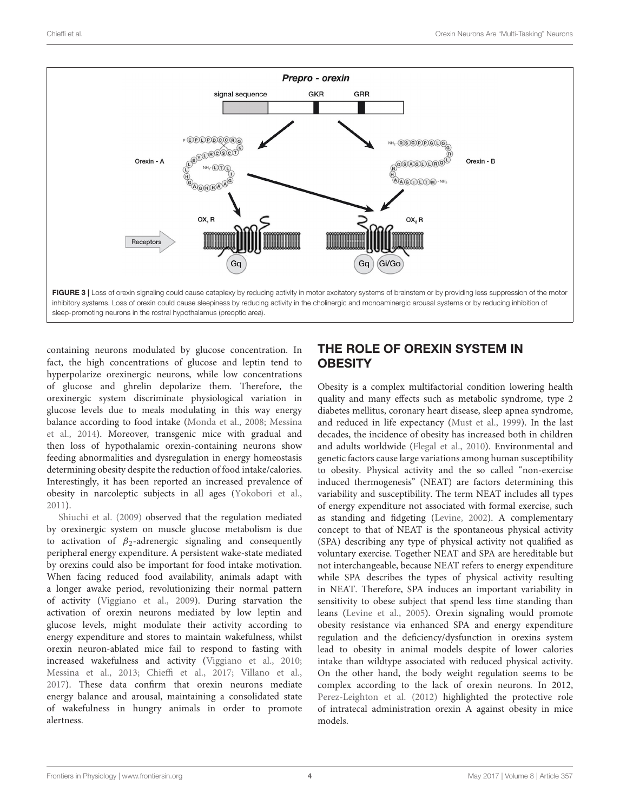

<span id="page-3-0"></span>containing neurons modulated by glucose concentration. In fact, the high concentrations of glucose and leptin tend to hyperpolarize orexinergic neurons, while low concentrations of glucose and ghrelin depolarize them. Therefore, the orexinergic system discriminate physiological variation in glucose levels due to meals modulating in this way energy balance according to food intake [\(Monda et al., 2008;](#page-7-18) Messina et al., [2014\)](#page-7-19). Moreover, transgenic mice with gradual and then loss of hypothalamic orexin-containing neurons show feeding abnormalities and dysregulation in energy homeostasis determining obesity despite the reduction of food intake/calories. Interestingly, it has been reported an increased prevalence of obesity in narcoleptic subjects in all ages [\(Yokobori et al.,](#page-8-2) [2011\)](#page-8-2).

[Shiuchi et al. \(2009\)](#page-7-20) observed that the regulation mediated by orexinergic system on muscle glucose metabolism is due to activation of  $\beta_2$ -adrenergic signaling and consequently peripheral energy expenditure. A persistent wake-state mediated by orexins could also be important for food intake motivation. When facing reduced food availability, animals adapt with a longer awake period, revolutionizing their normal pattern of activity [\(Viggiano et al., 2009\)](#page-7-21). During starvation the activation of orexin neurons mediated by low leptin and glucose levels, might modulate their activity according to energy expenditure and stores to maintain wakefulness, whilst orexin neuron-ablated mice fail to respond to fasting with increased wakefulness and activity [\(Viggiano et al., 2010;](#page-7-22) [Messina et al., 2013;](#page-7-23) [Chieffi et al., 2017;](#page-6-15) [Villano et al.,](#page-7-24) [2017\)](#page-7-24). These data confirm that orexin neurons mediate energy balance and arousal, maintaining a consolidated state of wakefulness in hungry animals in order to promote alertness.

# THE ROLE OF OREXIN SYSTEM IN **OBESITY**

Obesity is a complex multifactorial condition lowering health quality and many effects such as metabolic syndrome, type 2 diabetes mellitus, coronary heart disease, sleep apnea syndrome, and reduced in life expectancy [\(Must et al., 1999\)](#page-7-25). In the last decades, the incidence of obesity has increased both in children and adults worldwide [\(Flegal et al., 2010\)](#page-6-16). Environmental and genetic factors cause large variations among human susceptibility to obesity. Physical activity and the so called "non-exercise induced thermogenesis" (NEAT) are factors determining this variability and susceptibility. The term NEAT includes all types of energy expenditure not associated with formal exercise, such as standing and fidgeting [\(Levine, 2002\)](#page-6-17). A complementary concept to that of NEAT is the spontaneous physical activity (SPA) describing any type of physical activity not qualified as voluntary exercise. Together NEAT and SPA are hereditable but not interchangeable, because NEAT refers to energy expenditure while SPA describes the types of physical activity resulting in NEAT. Therefore, SPA induces an important variability in sensitivity to obese subject that spend less time standing than leans [\(Levine et al., 2005\)](#page-6-18). Orexin signaling would promote obesity resistance via enhanced SPA and energy expenditure regulation and the deficiency/dysfunction in orexins system lead to obesity in animal models despite of lower calories intake than wildtype associated with reduced physical activity. On the other hand, the body weight regulation seems to be complex according to the lack of orexin neurons. In 2012, [Perez-Leighton et al. \(2012\)](#page-7-26) highlighted the protective role of intratecal administration orexin A against obesity in mice models.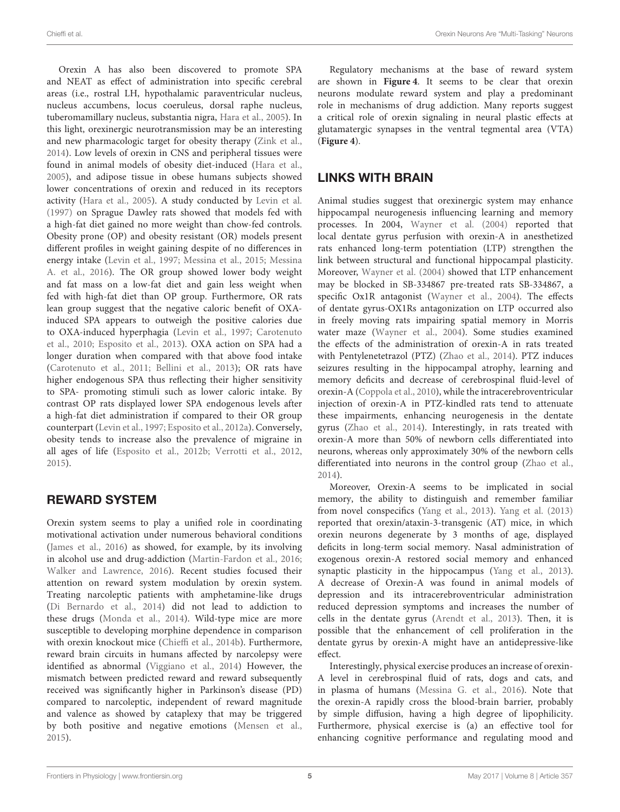Orexin A has also been discovered to promote SPA and NEAT as effect of administration into specific cerebral areas (i.e., rostral LH, hypothalamic paraventricular nucleus, nucleus accumbens, locus coeruleus, dorsal raphe nucleus, tuberomamillary nucleus, substantia nigra, [Hara et al., 2005\)](#page-6-19). In this light, orexinergic neurotransmission may be an interesting and new pharmacologic target for obesity therapy [\(Zink et al.,](#page-8-3) [2014\)](#page-8-3). Low levels of orexin in CNS and peripheral tissues were found in animal models of obesity diet-induced [\(Hara et al.,](#page-6-19) [2005\)](#page-6-19), and adipose tissue in obese humans subjects showed lower concentrations of orexin and reduced in its receptors activity [\(Hara et al., 2005\)](#page-6-19). A study conducted by [Levin et al.](#page-6-20) [\(1997\)](#page-6-20) on Sprague Dawley rats showed that models fed with a high-fat diet gained no more weight than chow-fed controls. Obesity prone (OP) and obesity resistant (OR) models present different profiles in weight gaining despite of no differences in energy intake [\(Levin et al., 1997;](#page-6-20) [Messina et al., 2015;](#page-7-27) Messina A. et al., [2016\)](#page-7-28). The OR group showed lower body weight and fat mass on a low-fat diet and gain less weight when fed with high-fat diet than OP group. Furthermore, OR rats lean group suggest that the negative caloric benefit of OXAinduced SPA appears to outweigh the positive calories due to OXA-induced hyperphagia [\(Levin et al., 1997;](#page-6-20) Carotenuto et al., [2010;](#page-6-21) [Esposito et al., 2013\)](#page-6-22). OXA action on SPA had a longer duration when compared with that above food intake [\(Carotenuto et al., 2011;](#page-6-23) [Bellini et al., 2013\)](#page-6-24); OR rats have higher endogenous SPA thus reflecting their higher sensitivity to SPA- promoting stimuli such as lower caloric intake. By contrast OP rats displayed lower SPA endogenous levels after a high-fat diet administration if compared to their OR group counterpart [\(Levin et al., 1997;](#page-6-20) [Esposito et al., 2012a\)](#page-6-25). Conversely, obesity tends to increase also the prevalence of migraine in all ages of life [\(Esposito et al., 2012b;](#page-6-26) [Verrotti et al., 2012,](#page-7-29) [2015\)](#page-7-30).

### REWARD SYSTEM

Orexin system seems to play a unified role in coordinating motivational activation under numerous behavioral conditions [\(James et al., 2016\)](#page-6-27) as showed, for example, by its involving in alcohol use and drug-addiction [\(Martin-Fardon et al., 2016;](#page-7-31) [Walker and Lawrence, 2016\)](#page-7-32). Recent studies focused their attention on reward system modulation by orexin system. Treating narcoleptic patients with amphetamine-like drugs [\(Di Bernardo et al., 2014\)](#page-6-28) did not lead to addiction to these drugs [\(Monda et al., 2014\)](#page-7-33). Wild-type mice are more susceptible to developing morphine dependence in comparison with orexin knockout mice [\(Chieffi et al., 2014b\)](#page-6-29). Furthermore, reward brain circuits in humans affected by narcolepsy were identified as abnormal [\(Viggiano et al., 2014\)](#page-7-34) However, the mismatch between predicted reward and reward subsequently received was significantly higher in Parkinson's disease (PD) compared to narcoleptic, independent of reward magnitude and valence as showed by cataplexy that may be triggered by both positive and negative emotions [\(Mensen et al.,](#page-7-35) [2015\)](#page-7-35).

Regulatory mechanisms at the base of reward system are shown in **[Figure 4](#page-5-0)**. It seems to be clear that orexin neurons modulate reward system and play a predominant role in mechanisms of drug addiction. Many reports suggest a critical role of orexin signaling in neural plastic effects at glutamatergic synapses in the ventral tegmental area (VTA) (**[Figure 4](#page-5-0)**).

### LINKS WITH BRAIN

Animal studies suggest that orexinergic system may enhance hippocampal neurogenesis influencing learning and memory processes. In 2004, [Wayner et al. \(2004\)](#page-7-36) reported that local dentate gyrus perfusion with orexin-A in anesthetized rats enhanced long-term potentiation (LTP) strengthen the link between structural and functional hippocampal plasticity. Moreover, [Wayner et al. \(2004\)](#page-7-36) showed that LTP enhancement may be blocked in SB-334867 pre-treated rats SB-334867, a specific Ox1R antagonist [\(Wayner et al., 2004\)](#page-7-36). The effects of dentate gyrus-OX1Rs antagonization on LTP occurred also in freely moving rats impairing spatial memory in Morris water maze [\(Wayner et al., 2004\)](#page-7-36). Some studies examined the effects of the administration of orexin-A in rats treated with Pentylenetetrazol (PTZ) [\(Zhao et al., 2014\)](#page-8-4). PTZ induces seizures resulting in the hippocampal atrophy, learning and memory deficits and decrease of cerebrospinal fluid-level of orexin-A [\(Coppola et al., 2010\)](#page-6-30), while the intracerebroventricular injection of orexin-A in PTZ-kindled rats tend to attenuate these impairments, enhancing neurogenesis in the dentate gyrus [\(Zhao et al., 2014\)](#page-8-4). Interestingly, in rats treated with orexin-A more than 50% of newborn cells differentiated into neurons, whereas only approximately 30% of the newborn cells differentiated into neurons in the control group [\(Zhao et al.,](#page-8-4) [2014\)](#page-8-4).

Moreover, Orexin-A seems to be implicated in social memory, the ability to distinguish and remember familiar from novel conspecifics [\(Yang et al., 2013\)](#page-8-5). [Yang et al. \(2013\)](#page-8-5) reported that orexin/ataxin-3-transgenic (AT) mice, in which orexin neurons degenerate by 3 months of age, displayed deficits in long-term social memory. Nasal administration of exogenous orexin-A restored social memory and enhanced synaptic plasticity in the hippocampus [\(Yang et al., 2013\)](#page-8-5). A decrease of Orexin-A was found in animal models of depression and its intracerebroventricular administration reduced depression symptoms and increases the number of cells in the dentate gyrus [\(Arendt et al., 2013\)](#page-6-31). Then, it is possible that the enhancement of cell proliferation in the dentate gyrus by orexin-A might have an antidepressive-like effect.

Interestingly, physical exercise produces an increase of orexin-A level in cerebrospinal fluid of rats, dogs and cats, and in plasma of humans [\(Messina G. et al., 2016\)](#page-7-37). Note that the orexin-A rapidly cross the blood-brain barrier, probably by simple diffusion, having a high degree of lipophilicity. Furthermore, physical exercise is (a) an effective tool for enhancing cognitive performance and regulating mood and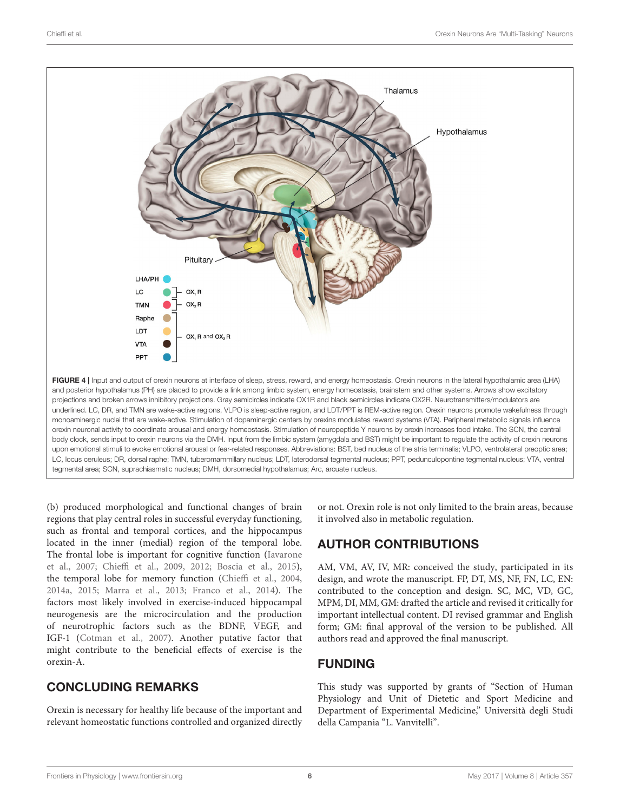

<span id="page-5-0"></span>(b) produced morphological and functional changes of brain regions that play central roles in successful everyday functioning, such as frontal and temporal cortices, and the hippocampus located in the inner (medial) region of the temporal lobe. The frontal lobe is important for cognitive function (Iavarone et al., [2007;](#page-6-32) [Chieffi et al., 2009,](#page-6-33) [2012;](#page-6-34) [Boscia et al., 2015\)](#page-6-35), the temporal lobe for memory function [\(Chieffi et al., 2004,](#page-6-36) [2014a,](#page-6-37) [2015;](#page-6-38) [Marra et al., 2013;](#page-7-38) [Franco et al., 2014\)](#page-6-39). The factors most likely involved in exercise-induced hippocampal neurogenesis are the microcirculation and the production of neurotrophic factors such as the BDNF, VEGF, and IGF-1 [\(Cotman et al., 2007\)](#page-6-40). Another putative factor that might contribute to the beneficial effects of exercise is the orexin-A.

# CONCLUDING REMARKS

Orexin is necessary for healthy life because of the important and relevant homeostatic functions controlled and organized directly or not. Orexin role is not only limited to the brain areas, because it involved also in metabolic regulation.

# AUTHOR CONTRIBUTIONS

AM, VM, AV, IV, MR: conceived the study, participated in its design, and wrote the manuscript. FP, DT, MS, NF, FN, LC, EN: contributed to the conception and design. SC, MC, VD, GC, MPM, DI, MM, GM: drafted the article and revised it critically for important intellectual content. DI revised grammar and English form; GM: final approval of the version to be published. All authors read and approved the final manuscript.

### FUNDING

This study was supported by grants of "Section of Human Physiology and Unit of Dietetic and Sport Medicine and Department of Experimental Medicine," Università degli Studi della Campania "L. Vanvitelli".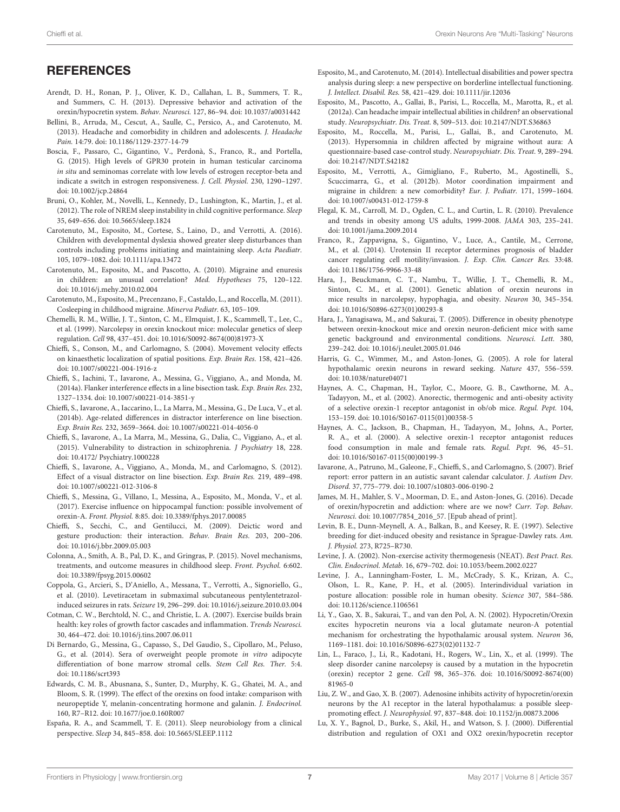### **REFERENCES**

- <span id="page-6-31"></span>Arendt, D. H., Ronan, P. J., Oliver, K. D., Callahan, L. B., Summers, T. R., and Summers, C. H. (2013). Depressive behavior and activation of the orexin/hypocretin system. Behav. Neurosci. 127, 86–94. doi: [10.1037/a0031442](https://doi.org/10.1037/a0031442)
- <span id="page-6-24"></span>Bellini, B., Arruda, M., Cescut, A., Saulle, C., Persico, A., and Carotenuto, M. (2013). Headache and comorbidity in children and adolescents. J. Headache Pain. 14:79. doi: [10.1186/1129-2377-14-79](https://doi.org/10.1186/1129-2377-14-79)
- <span id="page-6-35"></span>Boscia, F., Passaro, C., Gigantino, V., Perdonà, S., Franco, R., and Portella, G. (2015). High levels of GPR30 protein in human testicular carcinoma in situ and seminomas correlate with low levels of estrogen receptor-beta and indicate a switch in estrogen responsiveness. J. Cell. Physiol. 230, 1290–1297. doi: [10.1002/jcp.24864](https://doi.org/10.1002/jcp.24864)
- <span id="page-6-12"></span>Bruni, O., Kohler, M., Novelli, L., Kennedy, D., Lushington, K., Martin, J., et al. (2012). The role of NREM sleep instability in child cognitive performance. Sleep 35, 649–656. doi: [10.5665/sleep.1824](https://doi.org/10.5665/sleep.1824)
- <span id="page-6-14"></span>Carotenuto, M., Esposito, M., Cortese, S., Laino, D., and Verrotti, A. (2016). Children with developmental dyslexia showed greater sleep disturbances than controls including problems initiating and maintaining sleep. Acta Paediatr. 105, 1079–1082. doi: [10.1111/apa.13472](https://doi.org/10.1111/apa.13472)
- <span id="page-6-21"></span>Carotenuto, M., Esposito, M., and Pascotto, A. (2010). Migraine and enuresis in children: an unusual correlation? Med. Hypotheses 75, 120–122. doi: [10.1016/j.mehy.2010.02.004](https://doi.org/10.1016/j.mehy.2010.02.004)
- <span id="page-6-23"></span>Carotenuto, M., Esposito, M., Precenzano, F., Castaldo, L., and Roccella, M. (2011). Cosleeping in childhood migraine. Minerva Pediatr. 63, 105–109.
- <span id="page-6-8"></span>Chemelli, R. M., Willie, J. T., Sinton, C. M., Elmquist, J. K., Scammell, T., Lee, C., et al. (1999). Narcolepsy in orexin knockout mice: molecular genetics of sleep regulation. Cell 98, 437–451. doi: [10.1016/S0092-8674\(00\)81973-X](https://doi.org/10.1016/S0092-8674(00)81973-X)
- <span id="page-6-36"></span>Chieffi, S., Conson, M., and Carlomagno, S. (2004). Movement velocity effects on kinaesthetic localization of spatial positions. Exp. Brain Res. 158, 421–426. doi: [10.1007/s00221-004-1916-z](https://doi.org/10.1007/s00221-004-1916-z)
- <span id="page-6-37"></span>Chieffi, S., Iachini, T., Iavarone, A., Messina, G., Viggiano, A., and Monda, M. (2014a). Flanker interference effects in a line bisection task. Exp. Brain Res. 232, 1327–1334. doi: [10.1007/s00221-014-3851-y](https://doi.org/10.1007/s00221-014-3851-y)
- <span id="page-6-29"></span>Chieffi, S., Iavarone, A., Iaccarino, L., La Marra, M., Messina, G., De Luca, V., et al. (2014b). Age-related differences in distractor interference on line bisection. Exp. Brain Res. 232, 3659–3664. doi: [10.1007/s00221-014-4056-0](https://doi.org/10.1007/s00221-014-4056-0)
- <span id="page-6-38"></span>Chieffi, S., Iavarone, A., La Marra, M., Messina, G., Dalia, C., Viggiano, A., et al. (2015). Vulnerability to distraction in schizophrenia. J Psychiatry 18, 228. doi: [10.4172/](https://doi.org/10.4172/) Psychiatry.1000228
- <span id="page-6-34"></span>Chieffi, S., Iavarone, A., Viggiano, A., Monda, M., and Carlomagno, S. (2012). Effect of a visual distractor on line bisection. Exp. Brain Res. 219, 489–498. doi: [10.1007/s00221-012-3106-8](https://doi.org/10.1007/s00221-012-3106-8)
- <span id="page-6-15"></span>Chieffi, S., Messina, G., Villano, I., Messina, A., Esposito, M., Monda, V., et al. (2017). Exercise influence on hippocampal function: possible involvement of orexin-A. Front. Physiol. 8:85. doi: [10.3389/fphys.2017.00085](https://doi.org/10.3389/fphys.2017.00085)
- <span id="page-6-33"></span>Chieffi, S., Secchi, C., and Gentilucci, M. (2009). Deictic word and gesture production: their interaction. Behav. Brain Res. 203, 200–206. doi: [10.1016/j.bbr.2009.05.003](https://doi.org/10.1016/j.bbr.2009.05.003)
- <span id="page-6-13"></span>Colonna, A., Smith, A. B., Pal, D. K., and Gringras, P. (2015). Novel mechanisms, treatments, and outcome measures in childhood sleep. Front. Psychol. 6:602. doi: [10.3389/fpsyg.2015.00602](https://doi.org/10.3389/fpsyg.2015.00602)
- <span id="page-6-30"></span>Coppola, G., Arcieri, S., D'Aniello, A., Messana, T., Verrotti, A., Signoriello, G., et al. (2010). Levetiracetam in submaximal subcutaneous pentylentetrazolinduced seizures in rats. Seizure 19, 296–299. doi: [10.1016/j.seizure.2010.03.004](https://doi.org/10.1016/j.seizure.2010.03.004)
- <span id="page-6-40"></span>Cotman, C. W., Berchtold, N. C., and Christie, L. A. (2007). Exercise builds brain health: key roles of growth factor cascades and inflammation. Trends Neurosci. 30, 464–472. doi: [10.1016/j.tins.2007.06.011](https://doi.org/10.1016/j.tins.2007.06.011)
- <span id="page-6-28"></span>Di Bernardo, G., Messina, G., Capasso, S., Del Gaudio, S., Cipollaro, M., Peluso, G., et al. (2014). Sera of overweight people promote in vitro adipocyte differentiation of bone marrow stromal cells. Stem Cell Res. Ther. 5:4. doi: [10.1186/scrt393](https://doi.org/10.1186/scrt393)
- <span id="page-6-0"></span>Edwards, C. M. B., Abusnana, S., Sunter, D., Murphy, K. G., Ghatei, M. A., and Bloom, S. R. (1999). The effect of the orexins on food intake: comparison with neuropeptide Y, melanin-concentrating hormone and galanin. J. Endocrinol. 160, R7–R12. doi: [10.1677/joe.0.160R007](https://doi.org/10.1677/joe.0.160R007)
- <span id="page-6-10"></span>España, R. A., and Scammell, T. E. (2011). Sleep neurobiology from a clinical perspective. Sleep 34, 845–858. doi: [10.5665/SLEEP.1112](https://doi.org/10.5665/SLEEP.1112)
- <span id="page-6-11"></span>Esposito, M., and Carotenuto, M. (2014). Intellectual disabilities and power spectra analysis during sleep: a new perspective on borderline intellectual functioning. J. Intellect. Disabil. Res. 58, 421–429. doi: [10.1111/jir.12036](https://doi.org/10.1111/jir.12036)
- <span id="page-6-25"></span>Esposito, M., Pascotto, A., Gallai, B., Parisi, L., Roccella, M., Marotta, R., et al. (2012a). Can headache impair intellectual abilities in children? an observational study. Neuropsychiatr. Dis. Treat. 8, 509–513. doi: [10.2147/NDT.S36863](https://doi.org/10.2147/NDT.S36863)
- <span id="page-6-22"></span>Esposito, M., Roccella, M., Parisi, L., Gallai, B., and Carotenuto, M. (2013). Hypersomnia in children affected by migraine without aura: A questionnaire-based case-control study. Neuropsychiatr. Dis. Treat. 9, 289–294. doi: [10.2147/NDT.S42182](https://doi.org/10.2147/NDT.S42182)
- <span id="page-6-26"></span>Esposito, M., Verrotti, A., Gimigliano, F., Ruberto, M., Agostinelli, S., Scuccimarra, G., et al. (2012b). Motor coordination impairment and migraine in children: a new comorbidity? Eur. J. Pediatr. 171, 1599–1604. doi: [10.1007/s00431-012-1759-8](https://doi.org/10.1007/s00431-012-1759-8)
- <span id="page-6-16"></span>Flegal, K. M., Carroll, M. D., Ogden, C. L., and Curtin, L. R. (2010). Prevalence and trends in obesity among US adults, 1999-2008. JAMA 303, 235–241. doi: [10.1001/jama.2009.2014](https://doi.org/10.1001/jama.2009.2014)
- <span id="page-6-39"></span>Franco, R., Zappavigna, S., Gigantino, V., Luce, A., Cantile, M., Cerrone, M., et al. (2014). Urotensin II receptor determines prognosis of bladder cancer regulating cell motility/invasion. J. Exp. Clin. Cancer Res. 33:48. doi: [10.1186/1756-9966-33-48](https://doi.org/10.1186/1756-9966-33-48)
- <span id="page-6-3"></span>Hara, J., Beuckmann, C. T., Nambu, T., Willie, J. T., Chemelli, R. M., Sinton, C. M., et al. (2001). Genetic ablation of orexin neurons in mice results in narcolepsy, hypophagia, and obesity. Neuron 30, 345–354. doi: [10.1016/S0896-6273\(01\)00293-8](https://doi.org/10.1016/S0896-6273(01)00293-8)
- <span id="page-6-19"></span>Hara, J., Yanagisawa, M., and Sakurai, T. (2005). Difference in obesity phenotype between orexin-knockout mice and orexin neuron-deficient mice with same genetic background and environmental conditions. Neurosci. Lett. 380, 239–242. doi: [10.1016/j.neulet.2005.01.046](https://doi.org/10.1016/j.neulet.2005.01.046)
- <span id="page-6-4"></span>Harris, G. C., Wimmer, M., and Aston-Jones, G. (2005). A role for lateral hypothalamic orexin neurons in reward seeking. Nature 437, 556–559. doi: [10.1038/nature04071](https://doi.org/10.1038/nature04071)
- <span id="page-6-2"></span>Haynes, A. C., Chapman, H., Taylor, C., Moore, G. B., Cawthorne, M. A., Tadayyon, M., et al. (2002). Anorectic, thermogenic and anti-obesity activity of a selective orexin-1 receptor antagonist in ob/ob mice. Regul. Pept. 104, 153–159. doi: [10.1016/S0167-0115\(01\)00358-5](https://doi.org/10.1016/S0167-0115(01)00358-5)
- <span id="page-6-1"></span>Haynes, A. C., Jackson, B., Chapman, H., Tadayyon, M., Johns, A., Porter, R. A., et al. (2000). A selective orexin-1 receptor antagonist reduces food consumption in male and female rats. Regul. Pept. 96, 45–51. doi: [10.1016/S0167-0115\(00\)00199-3](https://doi.org/10.1016/S0167-0115(00)00199-3)
- <span id="page-6-32"></span>Iavarone, A., Patruno, M., Galeone, F., Chieffi, S., and Carlomagno, S. (2007). Brief report: error pattern in an autistic savant calendar calculator. J. Autism Dev. Disord. 37, 775–779. doi: [10.1007/s10803-006-0190-2](https://doi.org/10.1007/s10803-006-0190-2)
- <span id="page-6-27"></span>James, M. H., Mahler, S. V., Moorman, D. E., and Aston-Jones, G. (2016). Decade of orexin/hypocretin and addiction: where are we now? Curr. Top. Behav. Neurosci. doi: [10.1007/7854\\_2016\\_57.](https://doi.org/10.1007/7854_2016_57) [Epub ahead of print].
- <span id="page-6-20"></span>Levin, B. E., Dunn-Meynell, A. A., Balkan, B., and Keesey, R. E. (1997). Selective breeding for diet-induced obesity and resistance in Sprague-Dawley rats. Am. J. Physiol. 273, R725–R730.
- <span id="page-6-17"></span>Levine, J. A. (2002). Non-exercise activity thermogenesis (NEAT). Best Pract. Res. Clin. Endocrinol. Metab. 16, 679–702. doi: [10.1053/beem.2002.0227](https://doi.org/10.1053/beem.2002.0227)
- <span id="page-6-18"></span>Levine, J. A., Lanningham-Foster, L. M., McCrady, S. K., Krizan, A. C., Olson, L. R., Kane, P. H., et al. (2005). Interindividual variation in posture allocation: possible role in human obesity. Science 307, 584–586. doi: [10.1126/science.1106561](https://doi.org/10.1126/science.1106561)
- <span id="page-6-6"></span>Li, Y., Gao, X. B., Sakurai, T., and van den Pol, A. N. (2002). Hypocretin/Orexin excites hypocretin neurons via a local glutamate neuron-A potential mechanism for orchestrating the hypothalamic arousal system. Neuron 36, 1169–1181. doi: [10.1016/S0896-6273\(02\)01132-7](https://doi.org/10.1016/S0896-6273(02)01132-7)
- <span id="page-6-9"></span>Lin, L., Faraco, J., Li, R., Kadotani, H., Rogers, W., Lin, X., et al. (1999). The sleep disorder canine narcolepsy is caused by a mutation in the hypocretin (orexin) receptor 2 gene. Cell [98, 365–376. doi: 10.1016/S0092-8674\(00\)](https://doi.org/10.1016/S0092-8674(00)81965-0) 81965-0
- <span id="page-6-7"></span>Liu, Z. W., and Gao, X. B. (2007). Adenosine inhibits activity of hypocretin/orexin neurons by the A1 receptor in the lateral hypothalamus: a possible sleeppromoting effect. J. Neurophysiol. 97, 837–848. doi: [10.1152/jn.00873.2006](https://doi.org/10.1152/jn.00873.2006)
- <span id="page-6-5"></span>Lu, X. Y., Bagnol, D., Burke, S., Akil, H., and Watson, S. J. (2000). Differential distribution and regulation of OX1 and OX2 orexin/hypocretin receptor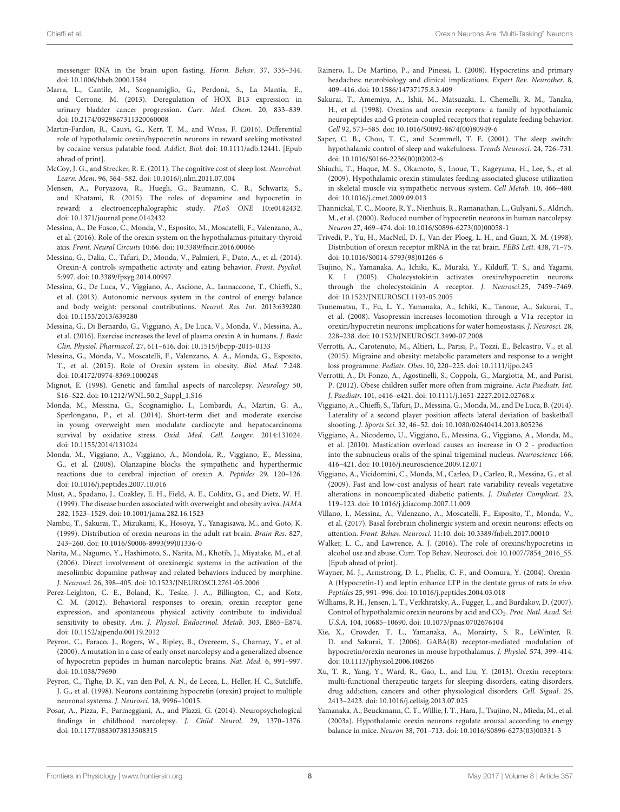messenger RNA in the brain upon fasting. Horm. Behav. 37, 335–344. doi: [10.1006/hbeh.2000.1584](https://doi.org/10.1006/hbeh.2000.1584)

- <span id="page-7-38"></span>Marra, L., Cantile, M., Scognamiglio, G., Perdonà, S., La Mantia, E., and Cerrone, M. (2013). Deregulation of HOX B13 expression in urinary bladder cancer progression. Curr. Med. Chem. 20, 833–839. doi: [10.2174/0929867311320060008](https://doi.org/10.2174/0929867311320060008)
- <span id="page-7-31"></span>Martin-Fardon, R., Cauvi, G., Kerr, T. M., and Weiss, F. (2016). Differential role of hypothalamic orexin/hypocretin neurons in reward seeking motivated by cocaine versus palatable food. Addict. Biol. doi: [10.1111/adb.12441.](https://doi.org/10.1111/adb.12441) [Epub ahead of print].
- <span id="page-7-17"></span>McCoy, J. G., and Strecker, R. E. (2011). The cognitive cost of sleep lost. Neurobiol. Learn. Mem. 96, 564–582. doi: [10.1016/j.nlm.2011.07.004](https://doi.org/10.1016/j.nlm.2011.07.004)
- <span id="page-7-35"></span>Mensen, A., Poryazova, R., Huegli, G., Baumann, C. R., Schwartz, S., and Khatami, R. (2015). The roles of dopamine and hypocretin in reward: a electroencephalographic study. PLoS ONE 10:e0142432. doi: [10.1371/journal.pone.0142432](https://doi.org/10.1371/journal.pone.0142432)
- <span id="page-7-28"></span>Messina, A., De Fusco, C., Monda, V., Esposito, M., Moscatelli, F., Valenzano, A., et al. (2016). Role of the orexin system on the hypothalamus-pituitary-thyroid axis. Front. Neural Circuits 10:66. doi: [10.3389/fncir.2016.00066](https://doi.org/10.3389/fncir.2016.00066)
- <span id="page-7-19"></span>Messina, G., Dalia, C., Tafuri, D., Monda, V., Palmieri, F., Dato, A., et al. (2014). Orexin-A controls sympathetic activity and eating behavior. Front. Psychol. 5:997. doi: [10.3389/fpsyg.2014.00997](https://doi.org/10.3389/fpsyg.2014.00997)
- <span id="page-7-23"></span>Messina, G., De Luca, V., Viggiano, A., Ascione, A., Iannaccone, T., Chieffi, S., et al. (2013). Autonomic nervous system in the control of energy balance and body weight: personal contributions. Neurol. Res. Int. 2013:639280. doi: [10.1155/2013/639280](https://doi.org/10.1155/2013/639280)
- <span id="page-7-37"></span>Messina, G., Di Bernardo, G., Viggiano, A., De Luca, V., Monda, V., Messina, A., et al. (2016). Exercise increases the level of plasma orexin A in humans. J. Basic Clin. Physiol. Pharmacol. 27, 611–616. doi: [10.1515/jbcpp-2015-0133](https://doi.org/10.1515/jbcpp-2015-0133)
- <span id="page-7-27"></span>Messina, G., Monda, V., Moscatelli, F., Valenzano, A. A., Monda, G., Esposito, T., et al. (2015). Role of Orexin system in obesity. Biol. Med. 7:248. doi: [10.4172/0974-8369.1000248](https://doi.org/10.4172/0974-8369.1000248)
- <span id="page-7-13"></span>Mignot, E. (1998). Genetic and familial aspects of narcolepsy. Neurology 50, S16–S22. doi: [10.1212/WNL.50.2\\_Suppl\\_1.S16](https://doi.org/10.1212/WNL.50.2_Suppl_1.S16)
- <span id="page-7-33"></span>Monda, M., Messina, G., Scognamiglio, I., Lombardi, A., Martin, G. A., Sperlongano, P., et al. (2014). Short-term diet and moderate exercise in young overweight men modulate cardiocyte and hepatocarcinoma survival by oxidative stress. Oxid. Med. Cell. Longev. 2014:131024. doi: [10.1155/2014/131024](https://doi.org/10.1155/2014/131024)
- <span id="page-7-18"></span>Monda, M., Viggiano, A., Viggiano, A., Mondola, R., Viggiano, E., Messina, G., et al. (2008). Olanzapine blocks the sympathetic and hyperthermic reactions due to cerebral injection of orexin A. Peptides 29, 120–126. doi: [10.1016/j.peptides.2007.10.016](https://doi.org/10.1016/j.peptides.2007.10.016)
- <span id="page-7-25"></span>Must, A., Spadano, J., Coakley, E. H., Field, A. E., Colditz, G., and Dietz, W. H. (1999). The disease burden associated with overweight and obesity aviva. JAMA 282, 1523–1529. doi: [10.1001/jama.282.16.1523](https://doi.org/10.1001/jama.282.16.1523)
- <span id="page-7-6"></span>Nambu, T., Sakurai, T., Mizukami, K., Hosoya, Y., Yanagisawa, M., and Goto, K. (1999). Distribution of orexin neurons in the adult rat brain. Brain Res. 827, 243–260. doi: [10.1016/S0006-8993\(99\)01336-0](https://doi.org/10.1016/S0006-8993(99)01336-0)
- <span id="page-7-4"></span>Narita, M., Nagumo, Y., Hashimoto, S., Narita, M., Khotib, J., Miyatake, M., et al. (2006). Direct involvement of orexinergic systems in the activation of the mesolimbic dopamine pathway and related behaviors induced by morphine. J. Neurosci. 26, 398–405. doi: [10.1523/JNEUROSCI.2761-05.2006](https://doi.org/10.1523/JNEUROSCI.2761-05.2006)
- <span id="page-7-26"></span>Perez-Leighton, C. E., Boland, K., Teske, J. A., Billington, C., and Kotz, C. M. (2012). Behavioral responses to orexin, orexin receptor gene expression, and spontaneous physical activity contribute to individual sensitivity to obesity. Am. J. Physiol. Endocrinol. Metab. 303, E865–E874. doi: [10.1152/ajpendo.00119.2012](https://doi.org/10.1152/ajpendo.00119.2012)
- <span id="page-7-1"></span>Peyron, C., Faraco, J., Rogers, W., Ripley, B., Overeem, S., Charnay, Y., et al. (2000). A mutation in a case of early onset narcolepsy and a generalized absence of hypocretin peptides in human narcoleptic brains. Nat. Med. 6, 991–997. doi: [10.1038/79690](https://doi.org/10.1038/79690)
- <span id="page-7-5"></span>Peyron, C., Tighe, D. K., van den Pol, A. N., de Lecea, L., Heller, H. C., Sutcliffe, J. G., et al. (1998). Neurons containing hypocretin (orexin) project to multiple neuronal systems. J. Neurosci. 18, 9996–10015.
- <span id="page-7-15"></span>Posar, A., Pizza, F., Parmeggiani, A., and Plazzi, G. (2014). Neuropsychological findings in childhood narcolepsy. J. Child Neurol. 29, 1370–1376. doi: [10.1177/0883073813508315](https://doi.org/10.1177/0883073813508315)
- <span id="page-7-16"></span>Rainero, I., De Martino, P., and Pinessi, L. (2008). Hypocretins and primary headaches: neurobiology and clinical implications. Expert Rev. Neurother. 8, 409–416. doi: [10.1586/14737175.8.3.409](https://doi.org/10.1586/14737175.8.3.409)
- <span id="page-7-0"></span>Sakurai, T., Amemiya, A., Ishii, M., Matsuzaki, I., Chemelli, R. M., Tanaka, H., et al. (1998). Orexins and orexin receptors: a family of hypothalamic neuropeptides and G protein-coupled receptors that regulate feeding behavior. Cell 92, 573–585. doi: [10.1016/S0092-8674\(00\)80949-6](https://doi.org/10.1016/S0092-8674(00)80949-6)
- <span id="page-7-14"></span>Saper, C. B., Chou, T. C., and Scammell, T. E. (2001). The sleep switch: hypothalamic control of sleep and wakefulness. Trends Neurosci. 24, 726–731. doi: [10.1016/S0166-2236\(00\)02002-6](https://doi.org/10.1016/S0166-2236(00)02002-6)
- <span id="page-7-20"></span>Shiuchi, T., Haque, M. S., Okamoto, S., Inoue, T., Kageyama, H., Lee, S., et al. (2009). Hypothalamic orexin stimulates feeding-associated glucose utilization in skeletal muscle via sympathetic nervous system. Cell Metab. 10, 466–480. doi: [10.1016/j.cmet.2009.09.013](https://doi.org/10.1016/j.cmet.2009.09.013)
- <span id="page-7-2"></span>Thannickal, T. C., Moore, R. Y., Nienhuis, R., Ramanathan, L., Gulyani, S., Aldrich, M., et al. (2000). Reduced number of hypocretin neurons in human narcolepsy. Neuron 27, 469–474. doi: [10.1016/S0896-6273\(00\)00058-1](https://doi.org/10.1016/S0896-6273(00)00058-1)
- <span id="page-7-8"></span>Trivedi, P., Yu, H., MacNeil, D. J., Van der Ploeg, L. H., and Guan, X. M. (1998). Distribution of orexin receptor mRNA in the rat brain. FEBS Lett. 438, 71–75. doi: [10.1016/S0014-5793\(98\)01266-6](https://doi.org/10.1016/S0014-5793(98)01266-6)
- <span id="page-7-10"></span>Tsujino, N., Yamanaka, A., Ichiki, K., Muraki, Y., Kilduff, T. S., and Yagami, K. I. (2005). Cholecystokinin activates orexin/hypocretin neurons through the cholecystokinin A receptor. J. Neurosci.25, 7459–7469. doi: [10.1523/JNEUROSCI.1193-05.2005](https://doi.org/10.1523/JNEUROSCI.1193-05.2005)
- <span id="page-7-11"></span>Tsunematsu, T., Fu, L. Y., Yamanaka, A., Ichiki, K., Tanoue, A., Sakurai, T., et al. (2008). Vasopressin increases locomotion through a V1a receptor in orexin/hypocretin neurons: implications for water homeostasis. J. Neurosci. 28, 228–238. doi: [10.1523/JNEUROSCI.3490-07.2008](https://doi.org/10.1523/JNEUROSCI.3490-07.2008)
- <span id="page-7-30"></span>Verrotti, A., Carotenuto, M., Altieri, L., Parisi, P., Tozzi, E., Belcastro, V., et al. (2015). Migraine and obesity: metabolic parameters and response to a weight loss programme. Pediatr. Obes. 10, 220–225. doi: [10.1111/ijpo.245](https://doi.org/10.1111/ijpo.245)
- <span id="page-7-29"></span>Verrotti, A., Di Fonzo, A., Agostinelli, S., Coppola, G., Margiotta, M., and Parisi, P. (2012). Obese children suffer more often from migraine. Acta Paediatr. Int. J. Paediatr. 101, e416–e421. doi: [10.1111/j.1651-2227.2012.02768.x](https://doi.org/10.1111/j.1651-2227.2012.02768.x)
- <span id="page-7-34"></span>Viggiano, A., Chieffi, S., Tafuri, D., Messina, G., Monda, M., and De Luca, B. (2014). Laterality of a second player position affects lateral deviation of basketball shooting. J. Sports Sci. 32, 46–52. doi: [10.1080/02640414.2013.805236](https://doi.org/10.1080/02640414.2013.805236)
- <span id="page-7-22"></span>Viggiano, A., Nicodemo, U., Viggiano, E., Messina, G., Viggiano, A., Monda, M., et al. (2010). Mastication overload causes an increase in O 2 - production into the subnucleus oralis of the spinal trigeminal nucleus. Neuroscience 166, 416–421. doi: [10.1016/j.neuroscience.2009.12.071](https://doi.org/10.1016/j.neuroscience.2009.12.071)
- <span id="page-7-21"></span>Viggiano, A., Vicidomini, C., Monda, M., Carleo, D., Carleo, R., Messina, G., et al. (2009). Fast and low-cost analysis of heart rate variability reveals vegetative alterations in noncomplicated diabetic patients. J. Diabetes Complicat. 23, 119–123. doi: [10.1016/j.jdiacomp.2007.11.009](https://doi.org/10.1016/j.jdiacomp.2007.11.009)
- <span id="page-7-24"></span>Villano, I., Messina, A., Valenzano, A., Moscatelli, F., Esposito, T., Monda, V., et al. (2017). Basal forebrain cholinergic system and orexin neurons: effects on attention. Front. Behav. Neurosci. 11:10. doi: [10.3389/fnbeh.2017.00010](https://doi.org/10.3389/fnbeh.2017.00010)
- <span id="page-7-32"></span>Walker, L. C., and Lawrence, A. J. (2016). The role of orexins/hypocretins in alcohol use and abuse. Curr. Top Behav. Neurosci. doi: [10.1007/7854\\_2016\\_55.](https://doi.org/10.1007/7854_2016_55) [Epub ahead of print].
- <span id="page-7-36"></span>Wayner, M. J., Armstrong, D. L., Phelix, C. F., and Oomura, Y. (2004). Orexin-A (Hypocretin-1) and leptin enhance LTP in the dentate gyrus of rats in vivo. Peptides 25, 991–996. doi: [10.1016/j.peptides.2004.03.018](https://doi.org/10.1016/j.peptides.2004.03.018)
- <span id="page-7-12"></span>Williams, R. H., Jensen, L. T., Verkhratsky, A., Fugger, L., and Burdakov, D. (2007). Control of hypothalamic orexin neurons by acid and CO<sub>2</sub>. Proc. Natl. Acad. Sci. U.S.A. 104, 10685–10690. doi: [10.1073/pnas.0702676104](https://doi.org/10.1073/pnas.0702676104)
- <span id="page-7-9"></span>Xie, X., Crowder, T. L., Yamanaka, A., Morairty, S. R., LeWinter, R. D. and Sakurai, T. (2006). GABA(B) receptor-mediated modulation of hypocretin/orexin neurones in mouse hypothalamus. J. Physiol. 574, 399–414. doi: [10.1113/jphysiol.2006.108266](https://doi.org/10.1113/jphysiol.2006.108266)
- <span id="page-7-7"></span>Xu, T. R., Yang, Y., Ward, R., Gao, L., and Liu, Y. (2013). Orexin receptors: multi-functional therapeutic targets for sleeping disorders, eating disorders, drug addiction, cancers and other physiological disorders. Cell. Signal. 25, 2413–2423. doi: [10.1016/j.cellsig.2013.07.025](https://doi.org/10.1016/j.cellsig.2013.07.025)
- <span id="page-7-3"></span>Yamanaka, A., Beuckmann, C. T., Willie, J. T., Hara, J., Tsujino, N., Mieda, M., et al. (2003a). Hypothalamic orexin neurons regulate arousal according to energy balance in mice. Neuron 38, 701–713. doi: [10.1016/S0896-6273\(03\)00331-3](https://doi.org/10.1016/S0896-6273(03)00331-3)